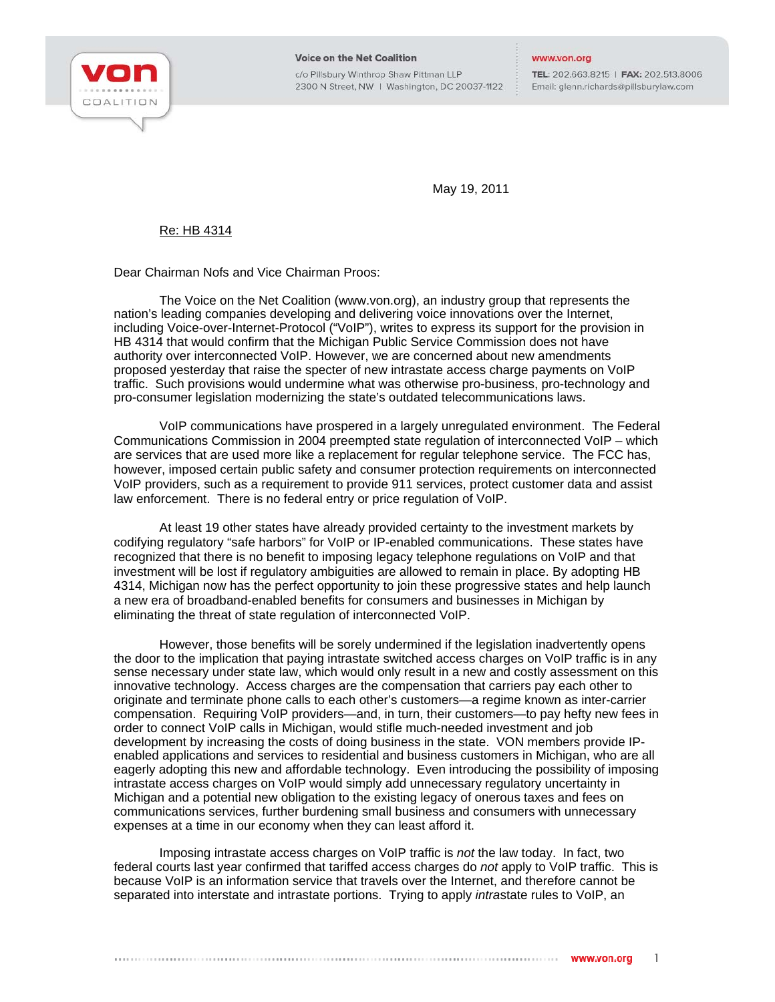

**Voice on the Net Coalition** 

c/o Pillsbury Winthrop Shaw Pittman LLP 2300 N Street, NW | Washington, DC 20037-1122

TEL: 202.663.8215 | FAX: 202.513.8006 Email: glenn.richards@pillsburylaw.com

May 19, 2011

## Re: HB 4314

Dear Chairman Nofs and Vice Chairman Proos:

The Voice on the Net Coalition (www.von.org), an industry group that represents the nation's leading companies developing and delivering voice innovations over the Internet, including Voice-over-Internet-Protocol ("VoIP"), writes to express its support for the provision in HB 4314 that would confirm that the Michigan Public Service Commission does not have authority over interconnected VoIP. However, we are concerned about new amendments proposed yesterday that raise the specter of new intrastate access charge payments on VoIP traffic. Such provisions would undermine what was otherwise pro-business, pro-technology and pro-consumer legislation modernizing the state's outdated telecommunications laws.

VoIP communications have prospered in a largely unregulated environment. The Federal Communications Commission in 2004 preempted state regulation of interconnected VoIP – which are services that are used more like a replacement for regular telephone service. The FCC has, however, imposed certain public safety and consumer protection requirements on interconnected VoIP providers, such as a requirement to provide 911 services, protect customer data and assist law enforcement. There is no federal entry or price regulation of VoIP.

At least 19 other states have already provided certainty to the investment markets by codifying regulatory "safe harbors" for VoIP or IP-enabled communications. These states have recognized that there is no benefit to imposing legacy telephone regulations on VoIP and that investment will be lost if regulatory ambiguities are allowed to remain in place. By adopting HB 4314, Michigan now has the perfect opportunity to join these progressive states and help launch a new era of broadband-enabled benefits for consumers and businesses in Michigan by eliminating the threat of state regulation of interconnected VoIP.

However, those benefits will be sorely undermined if the legislation inadvertently opens the door to the implication that paying intrastate switched access charges on VoIP traffic is in any sense necessary under state law, which would only result in a new and costly assessment on this innovative technology. Access charges are the compensation that carriers pay each other to originate and terminate phone calls to each other's customers—a regime known as inter-carrier compensation. Requiring VoIP providers—and, in turn, their customers—to pay hefty new fees in order to connect VoIP calls in Michigan, would stifle much-needed investment and job development by increasing the costs of doing business in the state. VON members provide IPenabled applications and services to residential and business customers in Michigan, who are all eagerly adopting this new and affordable technology. Even introducing the possibility of imposing intrastate access charges on VoIP would simply add unnecessary regulatory uncertainty in Michigan and a potential new obligation to the existing legacy of onerous taxes and fees on communications services, further burdening small business and consumers with unnecessary expenses at a time in our economy when they can least afford it.

Imposing intrastate access charges on VoIP traffic is *not* the law today. In fact, two federal courts last year confirmed that tariffed access charges do *not* apply to VoIP traffic. This is because VoIP is an information service that travels over the Internet, and therefore cannot be separated into interstate and intrastate portions. Trying to apply *intra*state rules to VoIP, an